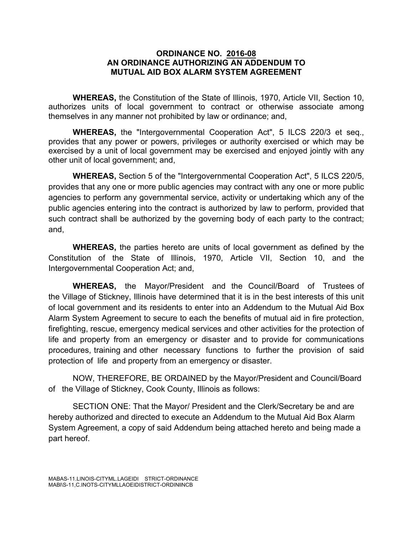## **ORDINANCE NO. 2016-08 AN ORDINANCE AUTHORIZING AN ADDENDUM TO MUTUAL AID BOX ALARM SYSTEM AGREEMENT**

**WHEREAS,** the Constitution of the State of Illinois, 1970, Article VII, Section 10, authorizes units of local government to contract or otherwise associate among themselves in any manner not prohibited by law or ordinance; and,

**WHEREAS,** the "Intergovernmental Cooperation Act", 5 ILCS 220/3 et seq., provides that any power or powers, privileges or authority exercised or which may be exercised by a unit of local government may be exercised and enjoyed jointly with any other unit of local government; and,

**WHEREAS,** Section 5 of the "Intergovernmental Cooperation Act", 5 ILCS 220/5, provides that any one or more public agencies may contract with any one or more public agencies to perform any governmental service, activity or undertaking which any of the public agencies entering into the contract is authorized by law to perform, provided that such contract shall be authorized by the governing body of each party to the contract; and,

**WHEREAS,** the parties hereto are units of local government as defined by the Constitution of the State of Illinois, 1970, Article VII, Section 10, and the Intergovernmental Cooperation Act; and,

**WHEREAS,** the Mayor/President and the Council/Board of Trustees of the Village of Stickney, Illinois have determined that it is in the best interests of this unit of local government and its residents to enter into an Addendum to the Mutual Aid Box Alarm System Agreement to secure to each the benefits of mutual aid in fire protection, firefighting, rescue, emergency medical services and other activities for the protection of life and property from an emergency or disaster and to provide for communications procedures, training and other necessary functions to further the provision of said protection of life and property from an emergency or disaster.

NOW, THEREFORE, BE ORDAINED by the Mayor/President and Council/Board of the Village of Stickney, Cook County, Illinois as follows:

SECTION ONE: That the Mayor/ President and the Clerk/Secretary be and are hereby authorized and directed to execute an Addendum to the Mutual Aid Box Alarm System Agreement, a copy of said Addendum being attached hereto and being made a part hereof.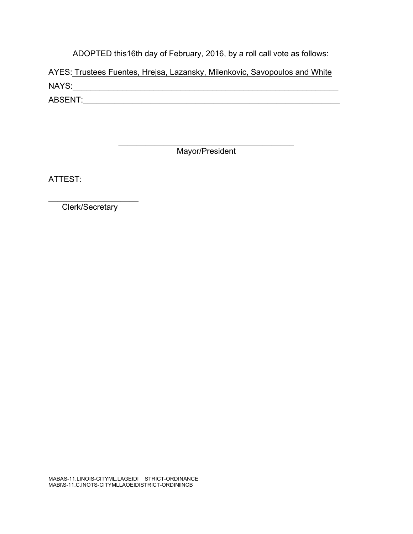ADOPTED this16th day of February, 2016, by a roll call vote as follows:

AYES: Trustees Fuentes, Hrejsa, Lazansky, Milenkovic, Savopoulos and White NAYS:\_\_\_\_\_\_\_\_\_\_\_\_\_\_\_\_\_\_\_\_\_\_\_\_\_\_\_\_\_\_\_\_\_\_\_\_\_\_\_\_\_\_\_\_\_\_\_\_\_\_\_\_\_\_\_\_\_\_\_ ABSENT:\_\_\_\_\_\_\_\_\_\_\_\_\_\_\_\_\_\_\_\_\_\_\_\_\_\_\_\_\_\_\_\_\_\_\_\_\_\_\_\_\_\_\_\_\_\_\_\_\_\_\_\_\_\_\_\_\_

Mayor/President

 $\mathcal{L}_\text{max}$  and  $\mathcal{L}_\text{max}$  and  $\mathcal{L}_\text{max}$ 

ATTEST:

\_\_\_\_\_\_\_\_\_\_\_\_\_\_\_\_\_\_\_\_ Clerk/Secretary